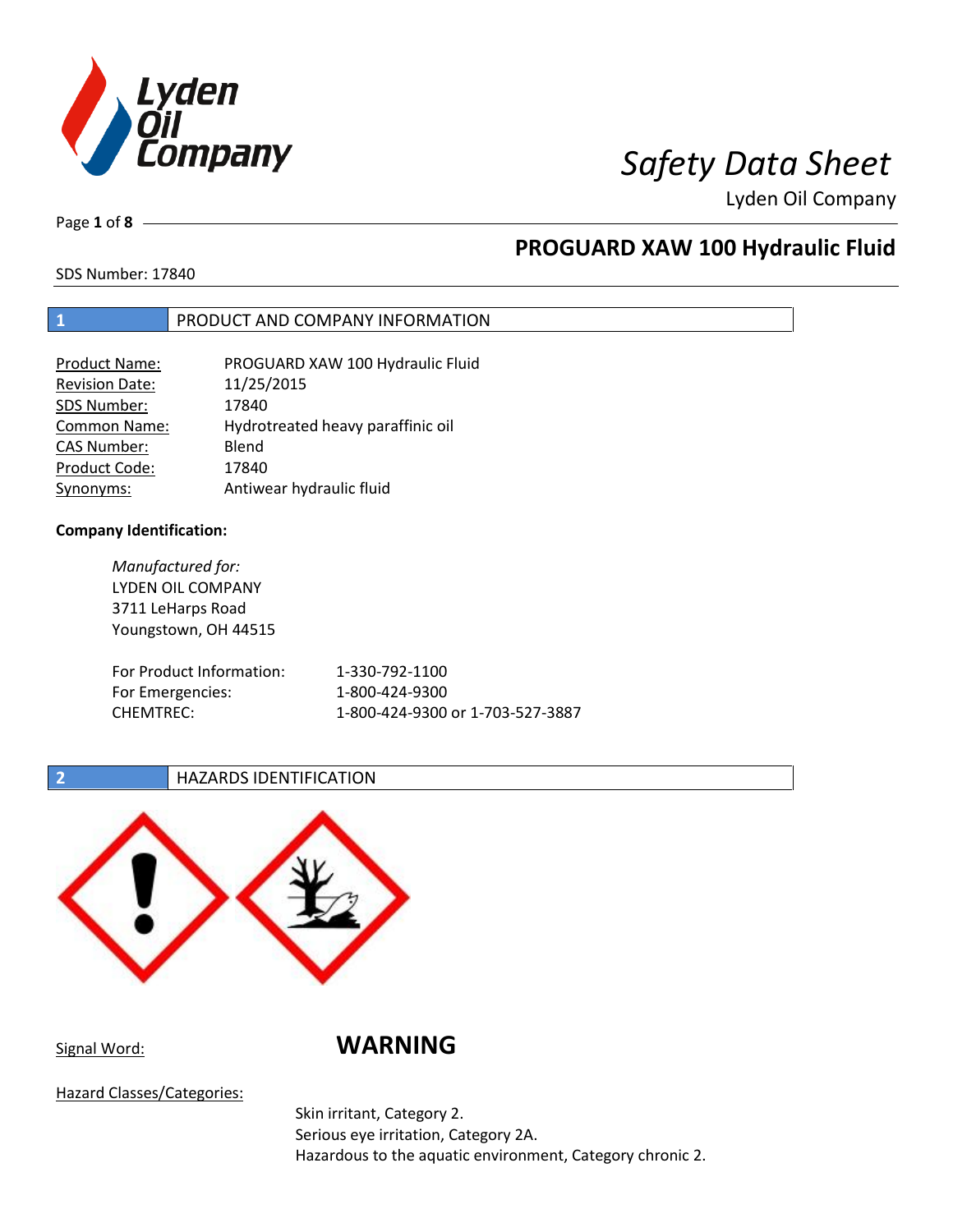

Page **1** of **8**

# **PROGUARD XAW 100 Hydraulic Fluid**

SDS Number: 17840

## **1** PRODUCT AND COMPANY INFORMATION

| <b>Product Name:</b>  | PROGUARD XAW 100 Hydraulic Fluid  |
|-----------------------|-----------------------------------|
| <b>Revision Date:</b> | 11/25/2015                        |
| SDS Number:           | 17840                             |
| <b>Common Name:</b>   | Hydrotreated heavy paraffinic oil |
| <b>CAS Number:</b>    | Blend                             |
| Product Code:         | 17840                             |
| Synonyms:             | Antiwear hydraulic fluid          |

## **Company Identification:**

*Manufactured for:* LYDEN OIL COMPANY 3711 LeHarps Road Youngstown, OH 44515 For Product Information: 1-330-792-1100 For Emergencies: 1-800-424-9300 CHEMTREC: 1-800-424-9300 or 1-703-527-3887

## **2 HAZARDS IDENTIFICATION**



Signal Word: **WARNING**

Hazard Classes/Categories:

Skin irritant, Category 2. Serious eye irritation, Category 2A. Hazardous to the aquatic environment, Category chronic 2.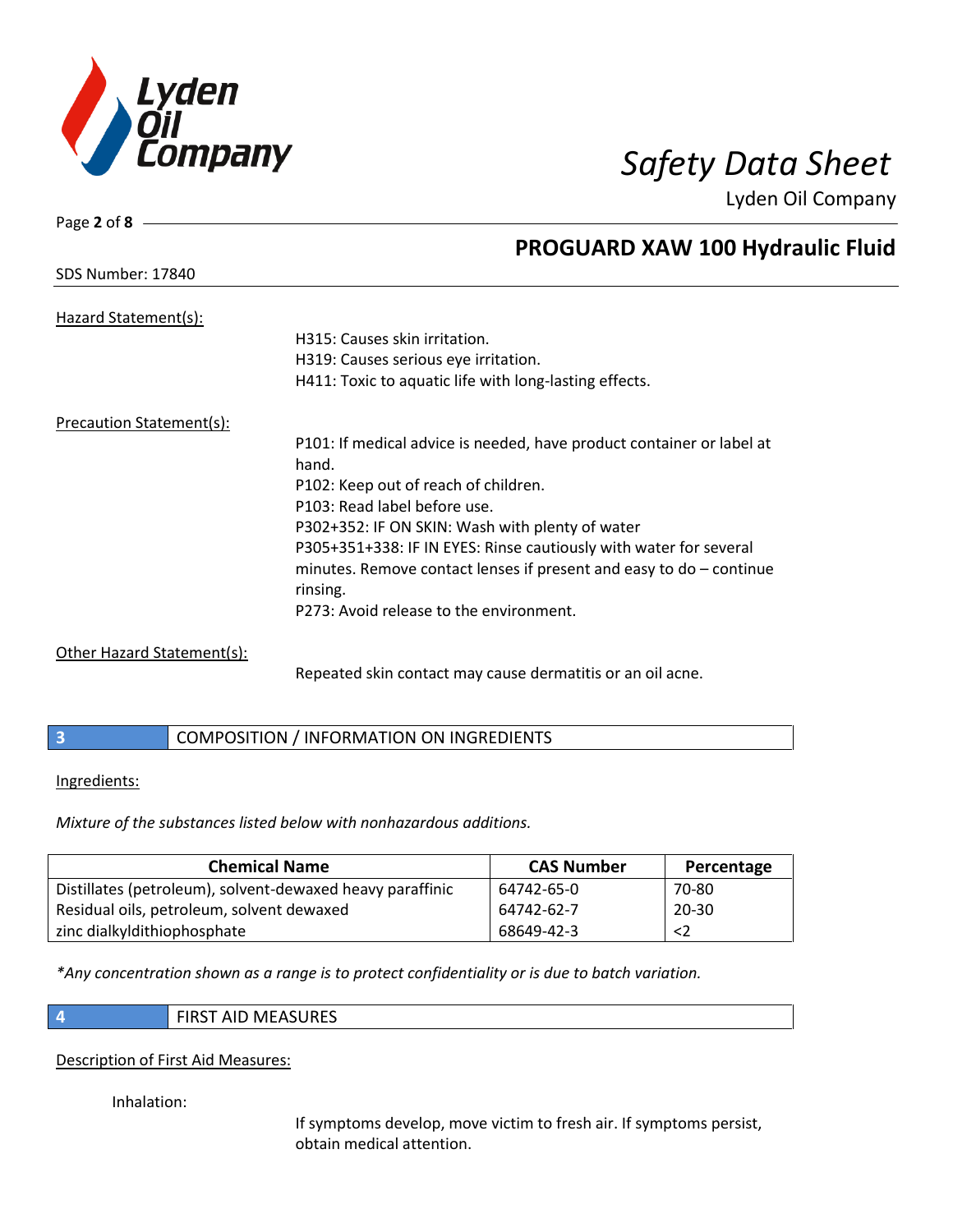

SDS Number: 17840

Page **2** of **8**

# **PROGUARD XAW 100 Hydraulic Fluid**

| Hazard Statement(s):                                                            |                                                                       |
|---------------------------------------------------------------------------------|-----------------------------------------------------------------------|
|                                                                                 | H315: Causes skin irritation.                                         |
|                                                                                 | H319: Causes serious eye irritation.                                  |
|                                                                                 | H411: Toxic to aquatic life with long-lasting effects.                |
| Precaution Statement(s):                                                        |                                                                       |
|                                                                                 | P101: If medical advice is needed, have product container or label at |
|                                                                                 | hand.                                                                 |
|                                                                                 | P102: Keep out of reach of children.                                  |
|                                                                                 | P103: Read label before use.                                          |
|                                                                                 | P302+352: IF ON SKIN: Wash with plenty of water                       |
|                                                                                 | P305+351+338: IF IN EYES: Rinse cautiously with water for several     |
|                                                                                 | minutes. Remove contact lenses if present and easy to $do$ – continue |
|                                                                                 | rinsing.                                                              |
|                                                                                 | P273: Avoid release to the environment.                               |
| $Q_{\text{th}}$ and the same $Q_{\text{th}}$ is a small signal set of $\{A\}$ . |                                                                       |

Other Hazard Statement(s):

Repeated skin contact may cause dermatitis or an oil acne.

|  | COMPOSITION / INFORMATION ON INGREDIENTS |
|--|------------------------------------------|
|--|------------------------------------------|

Ingredients:

*Mixture of the substances listed below with nonhazardous additions.*

| <b>Chemical Name</b>                                      | <b>CAS Number</b> | Percentage |
|-----------------------------------------------------------|-------------------|------------|
| Distillates (petroleum), solvent-dewaxed heavy paraffinic | 64742-65-0        | 70-80      |
| Residual oils, petroleum, solvent dewaxed                 | 64742-62-7        | $20 - 30$  |
| zinc dialkyldithiophosphate                               | 68649-42-3        | $<$ 2      |

*\*Any concentration shown as a range is to protect confidentiality or is due to batch variation.*

- 
- **4** FIRST AID MEASURES

## Description of First Aid Measures:

Inhalation:

If symptoms develop, move victim to fresh air. If symptoms persist, obtain medical attention.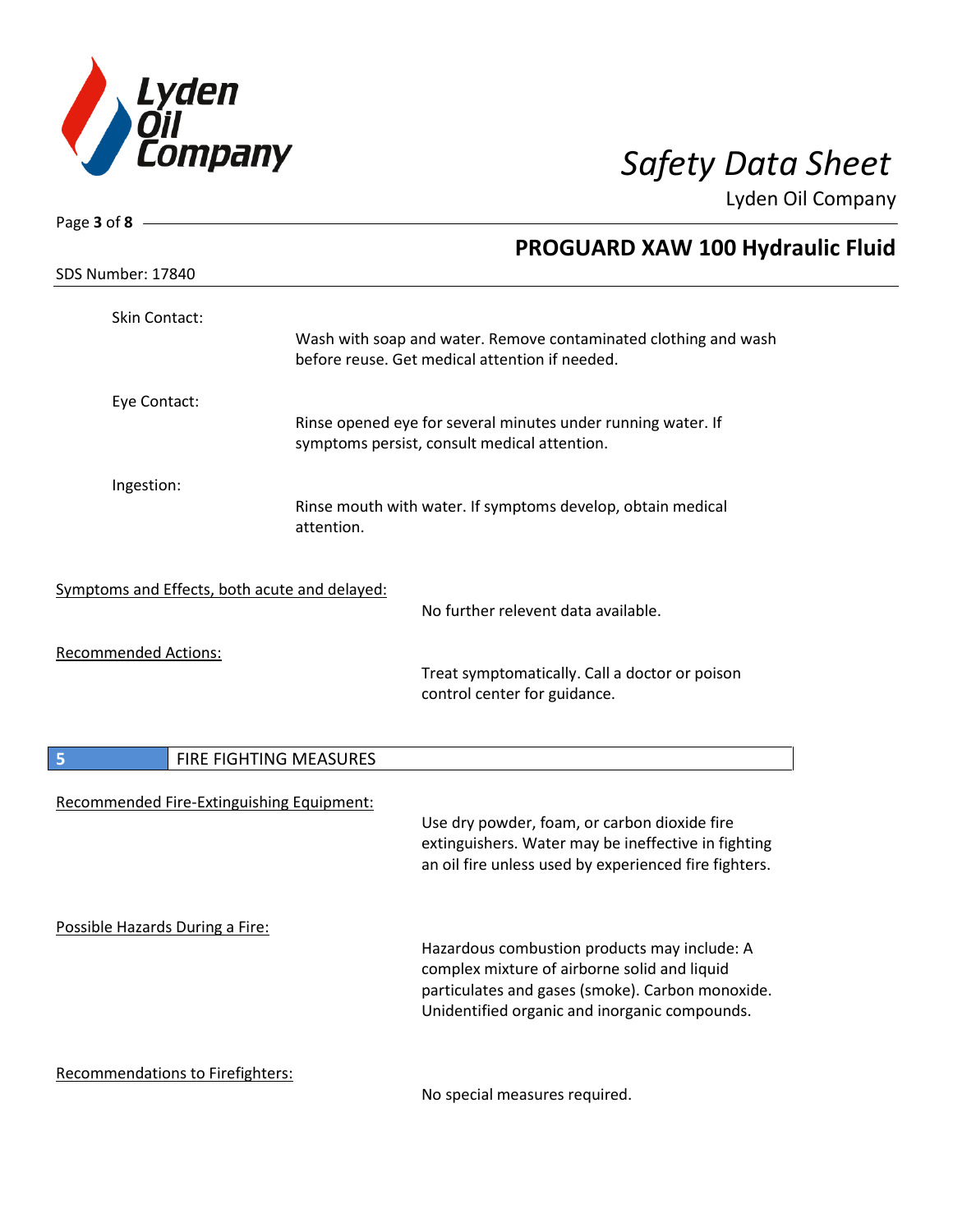

| Page 3 of 8 $-$                               |                                                                                                                   |  |
|-----------------------------------------------|-------------------------------------------------------------------------------------------------------------------|--|
| SDS Number: 17840                             | <b>PROGUARD XAW 100 Hydraulic Fluid</b>                                                                           |  |
|                                               |                                                                                                                   |  |
| Skin Contact:                                 | Wash with soap and water. Remove contaminated clothing and wash<br>before reuse. Get medical attention if needed. |  |
|                                               |                                                                                                                   |  |
| Eye Contact:                                  |                                                                                                                   |  |
|                                               | Rinse opened eye for several minutes under running water. If<br>symptoms persist, consult medical attention.      |  |
| Ingestion:                                    |                                                                                                                   |  |
|                                               | Rinse mouth with water. If symptoms develop, obtain medical<br>attention.                                         |  |
|                                               |                                                                                                                   |  |
| Symptoms and Effects, both acute and delayed: |                                                                                                                   |  |
|                                               | No further relevent data available.                                                                               |  |
| <b>Recommended Actions:</b>                   |                                                                                                                   |  |
|                                               | Treat symptomatically. Call a doctor or poison<br>control center for guidance.                                    |  |
|                                               |                                                                                                                   |  |
| 5                                             | FIRE FIGHTING MEASURES                                                                                            |  |
|                                               |                                                                                                                   |  |
| Recommended Fire-Extinguishing Equipment:     | Use dry powder, foam, or carbon dioxide fire                                                                      |  |
|                                               | extinguishers. Water may be ineffective in fighting<br>an oil fire unless used by experienced fire fighters.      |  |
|                                               |                                                                                                                   |  |
|                                               |                                                                                                                   |  |
| Possible Hazards During a Fire:               | Hazardous combustion products may include: A                                                                      |  |
|                                               | complex mixture of airborne solid and liquid                                                                      |  |
|                                               | particulates and gases (smoke). Carbon monoxide.                                                                  |  |
|                                               | Unidentified organic and inorganic compounds.                                                                     |  |
| Recommendations to Firefighters:              |                                                                                                                   |  |
|                                               | No special measures required.                                                                                     |  |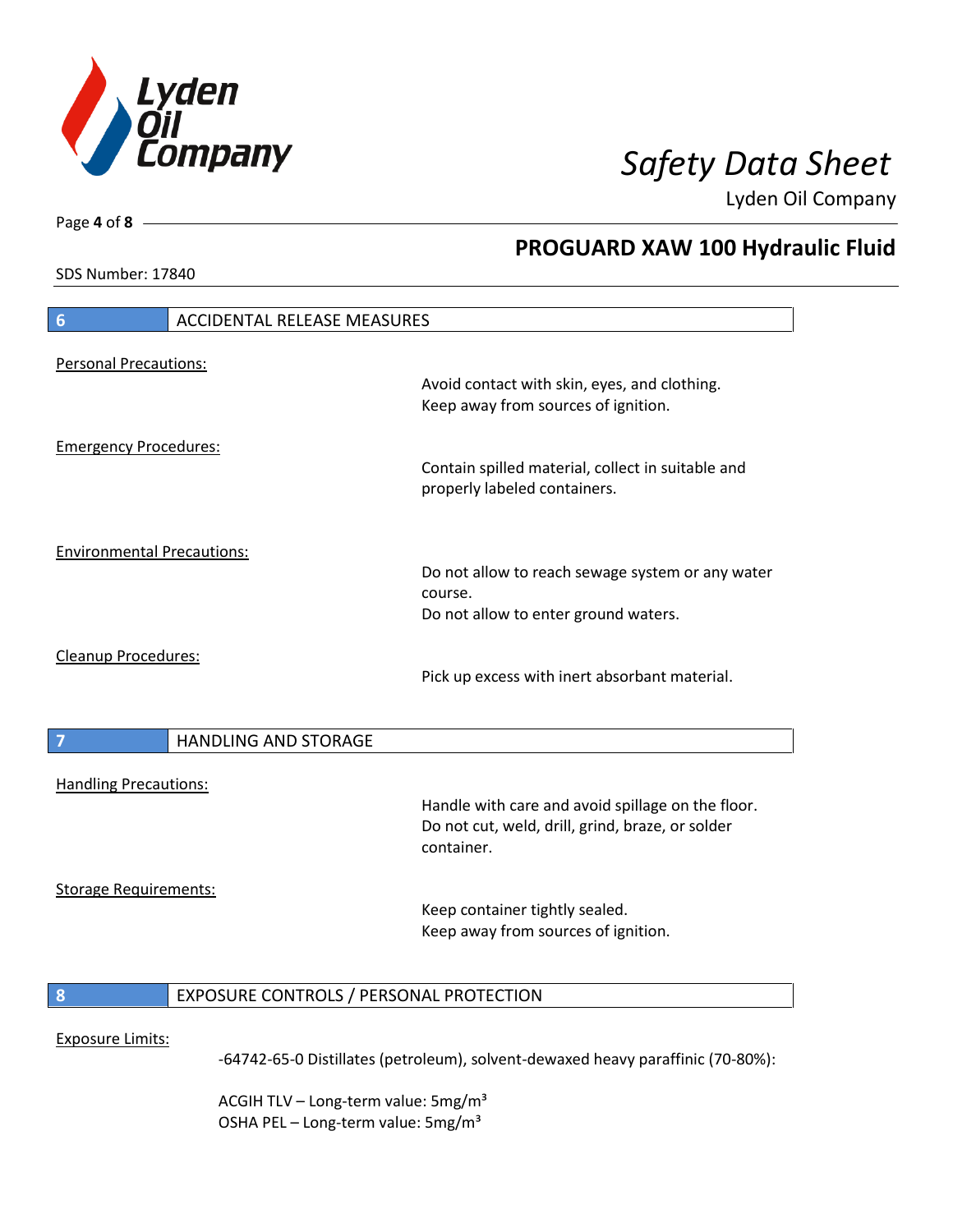

**PROGUARD XAW 100 Hydraulic Fluid**

Lyden Oil Company

SDS Number: 17840

Page **4** of **8**

# **6** ACCIDENTAL RELEASE MEASURES Personal Precautions: Avoid contact with skin, eyes, and clothing. Keep away from sources of ignition. Emergency Procedures: Contain spilled material, collect in suitable and properly labeled containers. Environmental Precautions: Do not allow to reach sewage system or any water course. Do not allow to enter ground waters. Cleanup Procedures: Pick up excess with inert absorbant material. **7 HANDLING AND STORAGE** Handling Precautions: Handle with care and avoid spillage on the floor. Do not cut, weld, drill, grind, braze, or solder container. Storage Requirements: Keep container tightly sealed. Keep away from sources of ignition. **8** EXPOSURE CONTROLS / PERSONAL PROTECTION Exposure Limits: -64742-65-0 Distillates (petroleum), solvent-dewaxed heavy paraffinic (70-80%):

ACGIH TLV – Long-term value:  $5\,\text{mg/m}^3$ OSHA PEL - Long-term value: 5mg/m<sup>3</sup>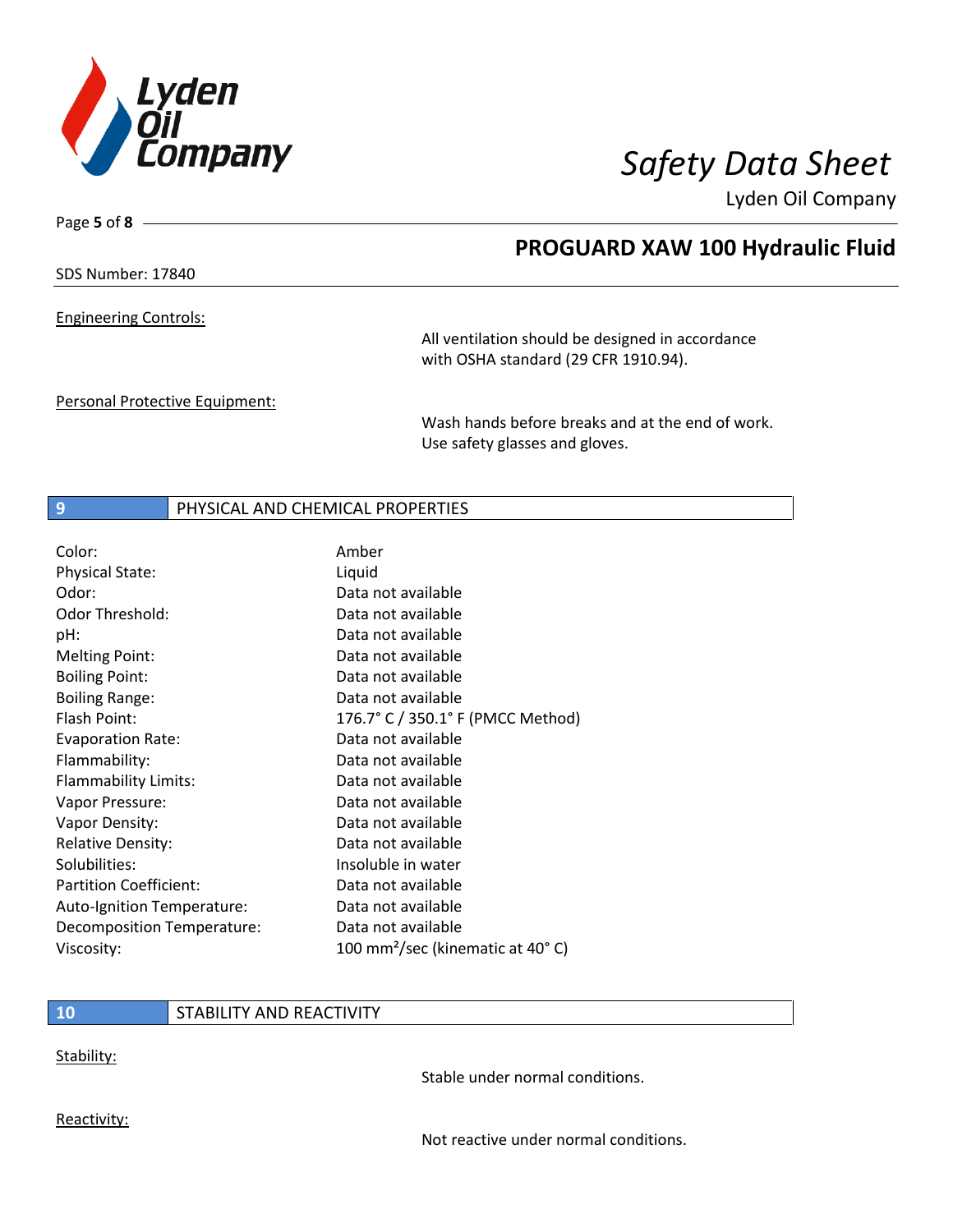

Page **5** of **8**

# **PROGUARD XAW 100 Hydraulic Fluid**

SDS Number: 17840

Engineering Controls:

All ventilation should be designed in accordance with OSHA standard (29 CFR 1910.94).

Personal Protective Equipment:

Wash hands before breaks and at the end of work. Use safety glasses and gloves.

## **9** PHYSICAL AND CHEMICAL PROPERTIES

| Color:                        | Amber                                        |
|-------------------------------|----------------------------------------------|
| <b>Physical State:</b>        | Liquid                                       |
| Odor:                         | Data not available                           |
| Odor Threshold:               | Data not available                           |
| pH:                           | Data not available                           |
| <b>Melting Point:</b>         | Data not available                           |
| <b>Boiling Point:</b>         | Data not available                           |
| <b>Boiling Range:</b>         | Data not available                           |
| Flash Point:                  | 176.7° C / 350.1° F (PMCC Method)            |
| <b>Evaporation Rate:</b>      | Data not available                           |
| Flammability:                 | Data not available                           |
| Flammability Limits:          | Data not available                           |
| Vapor Pressure:               | Data not available                           |
| Vapor Density:                | Data not available                           |
| <b>Relative Density:</b>      | Data not available                           |
| Solubilities:                 | Insoluble in water                           |
| <b>Partition Coefficient:</b> | Data not available                           |
| Auto-Ignition Temperature:    | Data not available                           |
| Decomposition Temperature:    | Data not available                           |
| Viscosity:                    | 100 mm <sup>2</sup> /sec (kinematic at 40°C) |

## **10** STABILITY AND REACTIVITY

Stability:

Stable under normal conditions.

Reactivity:

Not reactive under normal conditions.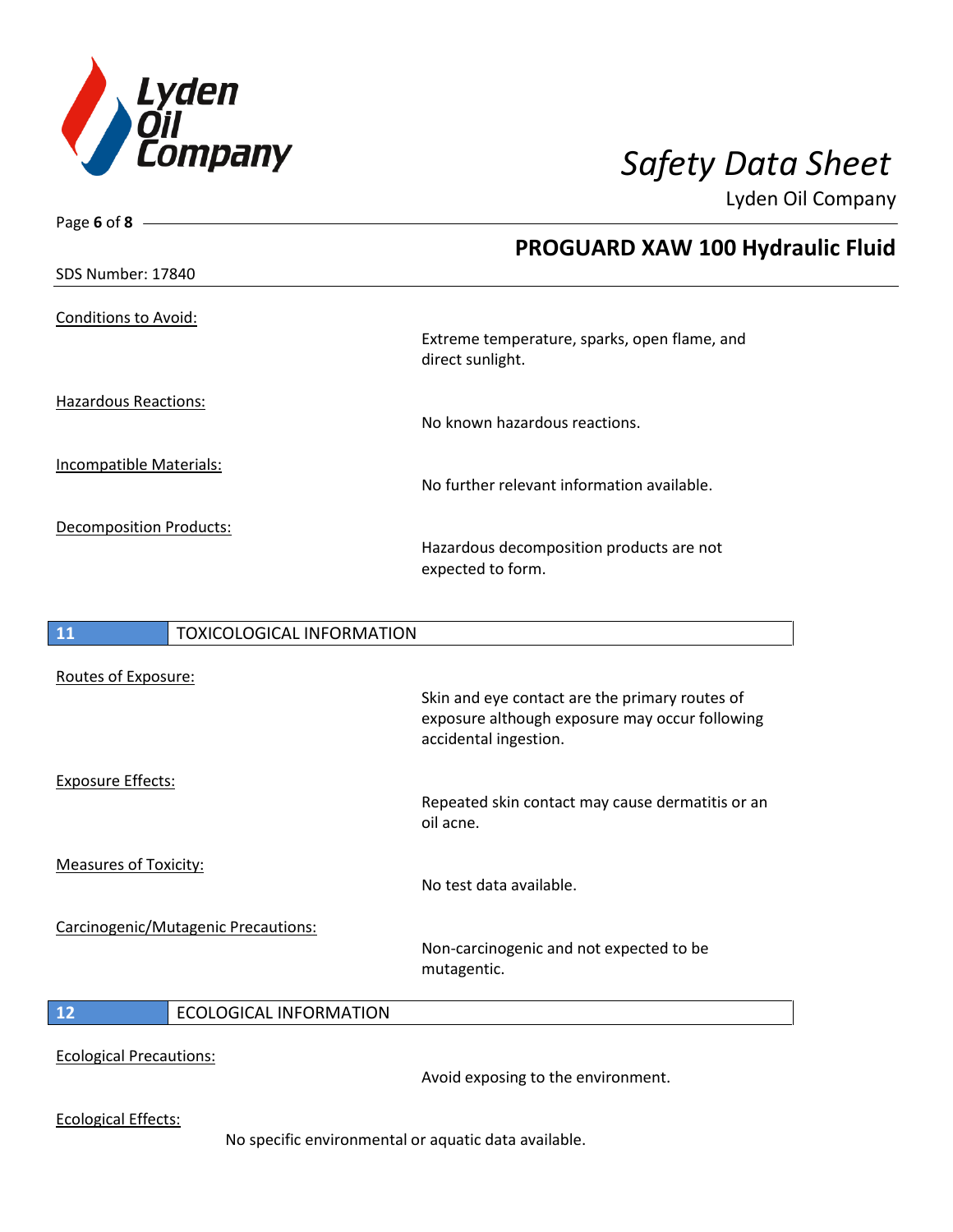

| Page 6 of 8 $-$                     |                                                                                                                           |
|-------------------------------------|---------------------------------------------------------------------------------------------------------------------------|
|                                     | <b>PROGUARD XAW 100 Hydraulic Fluid</b>                                                                                   |
| SDS Number: 17840                   |                                                                                                                           |
| <b>Conditions to Avoid:</b>         | Extreme temperature, sparks, open flame, and<br>direct sunlight.                                                          |
| <b>Hazardous Reactions:</b>         | No known hazardous reactions.                                                                                             |
| Incompatible Materials:             | No further relevant information available.                                                                                |
| <b>Decomposition Products:</b>      | Hazardous decomposition products are not<br>expected to form.                                                             |
| TOXICOLOGICAL INFORMATION<br>11     |                                                                                                                           |
| Routes of Exposure:                 | Skin and eye contact are the primary routes of<br>exposure although exposure may occur following<br>accidental ingestion. |
| <b>Exposure Effects:</b>            | Repeated skin contact may cause dermatitis or an<br>oil acne.                                                             |
| <b>Measures of Toxicity:</b>        | No test data available.                                                                                                   |
| Carcinogenic/Mutagenic Precautions: | Non-carcinogenic and not expected to be<br>mutagentic.                                                                    |
| 12<br><b>ECOLOGICAL INFORMATION</b> |                                                                                                                           |
| <b>Ecological Precautions:</b>      |                                                                                                                           |

Avoid exposing to the environment.

Ecological Effects:

No specific environmental or aquatic data available.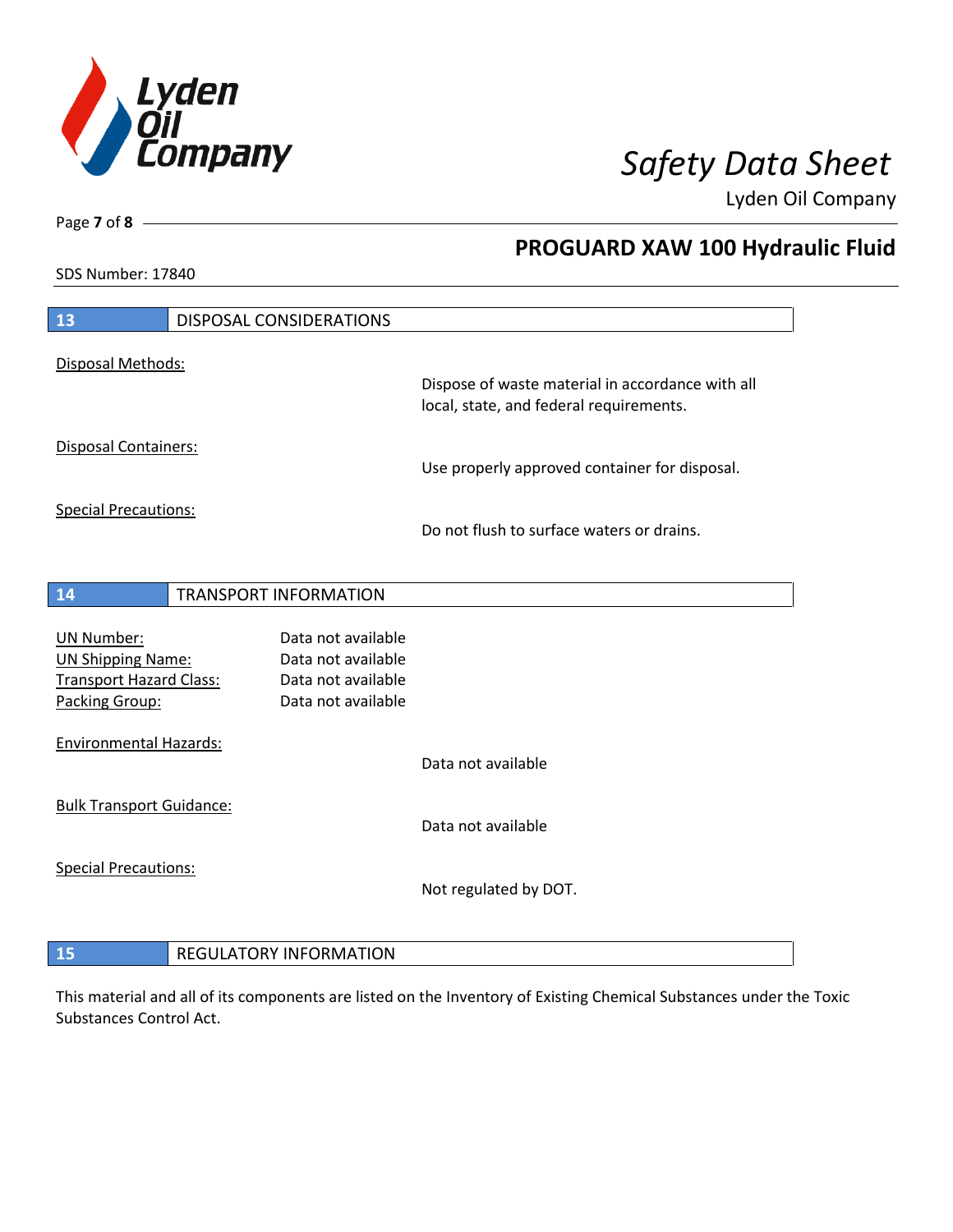

**PROGUARD XAW 100 Hydraulic Fluid**

Lyden Oil Company

SDS Number: 17840

| 13                                                                                                | DISPOSAL CONSIDERATIONS                                                              |                                                                                             |
|---------------------------------------------------------------------------------------------------|--------------------------------------------------------------------------------------|---------------------------------------------------------------------------------------------|
| Disposal Methods:                                                                                 |                                                                                      |                                                                                             |
|                                                                                                   |                                                                                      | Dispose of waste material in accordance with all<br>local, state, and federal requirements. |
| Disposal Containers:                                                                              |                                                                                      | Use properly approved container for disposal.                                               |
| <b>Special Precautions:</b>                                                                       |                                                                                      |                                                                                             |
|                                                                                                   |                                                                                      | Do not flush to surface waters or drains.                                                   |
| 14                                                                                                | <b>TRANSPORT INFORMATION</b>                                                         |                                                                                             |
| <b>UN Number:</b><br><b>UN Shipping Name:</b><br><b>Transport Hazard Class:</b><br>Packing Group: | Data not available<br>Data not available<br>Data not available<br>Data not available |                                                                                             |
| <b>Environmental Hazards:</b>                                                                     |                                                                                      | Data not available                                                                          |
| <b>Bulk Transport Guidance:</b>                                                                   |                                                                                      | Data not available                                                                          |
| <b>Special Precautions:</b>                                                                       |                                                                                      | Not regulated by DOT.                                                                       |
| 15                                                                                                | <b>REGULATORY INFORMATION</b>                                                        |                                                                                             |

This material and all of its components are listed on the Inventory of Existing Chemical Substances under the Toxic Substances Control Act.

Page **7** of **8**